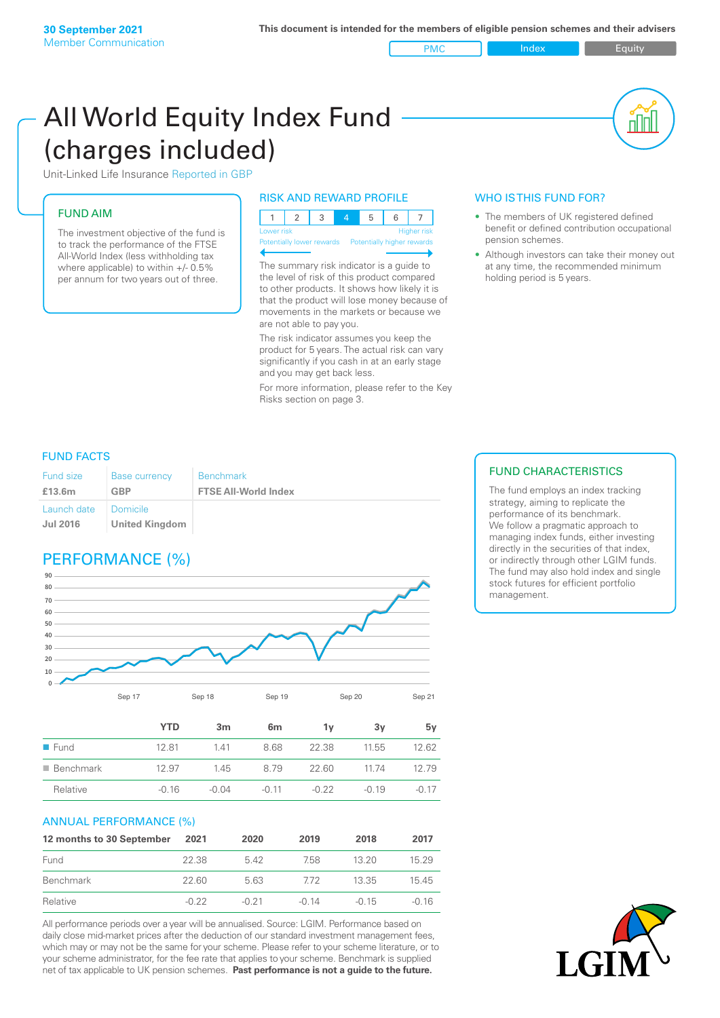PMC Index Index Equity

nl M

# All World Equity Index Fund (charges included)

Unit-Linked Life Insurance Reported in GBP

### FUND AIM

The investment objective of the fund is to track the performance of the FTSE All-World Index (less withholding tax where applicable) to within +/- 0.5% per annum for two years out of three.

#### RISK AND REWARD PROFILE

| Lower risk |  |  | <b>Higher</b> risk |
|------------|--|--|--------------------|

ntially lower rewards Pote

The summary risk indicator is a guide to the level of risk of this product compared to other products. It shows how likely it is that the product will lose money because of movements in the markets or because we are not able to pay you.

The risk indicator assumes you keep the product for 5 years. The actual risk can vary significantly if you cash in at an early stage and you may get back less.

For more information, please refer to the Key Risks section on page 3.

### WHO IS THIS FUND FOR?

- The members of UK registered defined benefit or defined contribution occupational pension schemes.
- Although investors can take their money out at any time, the recommended minimum holding period is 5 years.

#### FUND FACTS

| <b>Fund size</b>                   | <b>Base currency</b> | <b>Benchmark</b>            |
|------------------------------------|----------------------|-----------------------------|
| £13.6m                             | <b>GBP</b>           | <b>FTSE All-World Index</b> |
| Launch date   Domicile<br>Jul 2016 | United Kingdom       |                             |

## PERFORMANCE (%)



|                          | YTD     | 3m      | 6 <sub>m</sub> | 1۷      | 3v      | 5v      |
|--------------------------|---------|---------|----------------|---------|---------|---------|
| $\blacksquare$ Fund      | 12.81   | 1.41    | 8.68           | 22.38   | 11.55   | 12.62   |
| $\blacksquare$ Benchmark | 12.97   | 1.45    | 8 7 9          | 22.60   | 1174    | 12 79   |
| Relative                 | $-0.16$ | $-0.04$ | $-0.11$        | $-0.22$ | $-0.19$ | $-0.17$ |

#### ANNUAL PERFORMANCE (%)

| 12 months to 30 September | 2021    | 2020    | 2019    | 2018    | 2017  |
|---------------------------|---------|---------|---------|---------|-------|
| Fund                      | 22.38   | 542     | 758     | 13.20   | 15.29 |
| Benchmark                 | 22.60   | 5.63    | 772     | 13.35   | 15.45 |
| Relative                  | $-0.22$ | $-0.21$ | $-0.14$ | $-0.15$ | -0.16 |

All performance periods over a year will be annualised. Source: LGIM. Performance based on daily close mid-market prices after the deduction of our standard investment management fees, which may or may not be the same for your scheme. Please refer to your scheme literature, or to your scheme administrator, for the fee rate that applies to your scheme. Benchmark is supplied net of tax applicable to UK pension schemes. **Past performance is not a guide to the future.**

#### FUND CHARACTERISTICS

The fund employs an index tracking strategy, aiming to replicate the performance of its benchmark. We follow a pragmatic approach to managing index funds, either investing directly in the securities of that index, or indirectly through other LGIM funds. The fund may also hold index and single stock futures for efficient portfolio management.

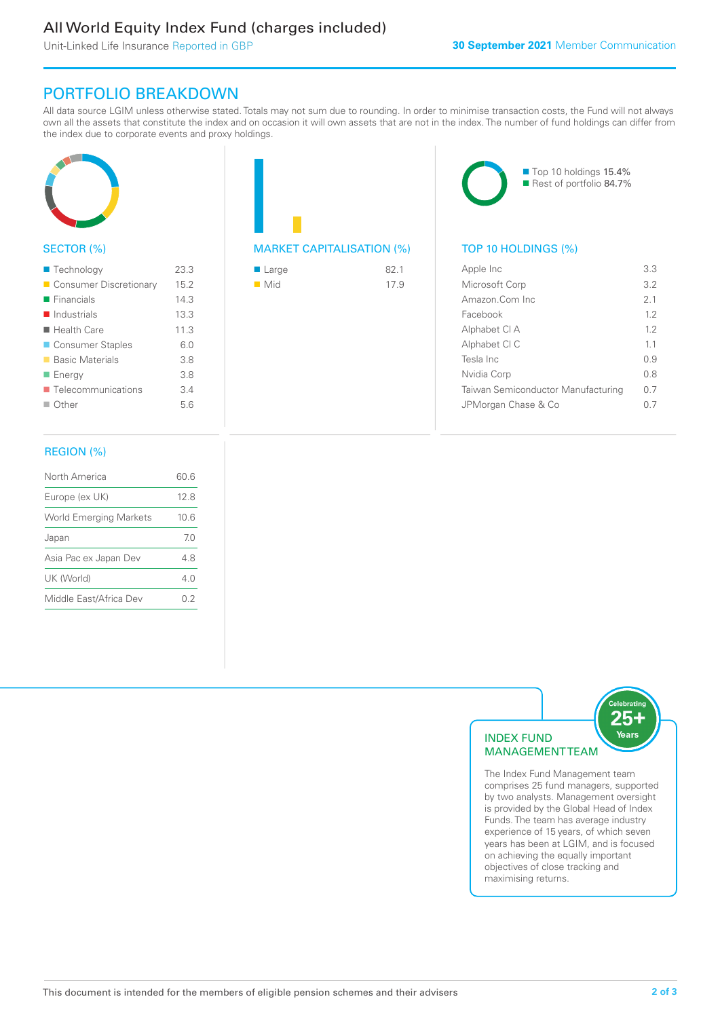### All World Equity Index Fund (charges included)

Unit-Linked Life Insurance Reported in GBP

### PORTFOLIO BREAKDOWN

All data source LGIM unless otherwise stated. Totals may not sum due to rounding. In order to minimise transaction costs, the Fund will not always own all the assets that constitute the index and on occasion it will own assets that are not in the index. The number of fund holdings can differ from the index due to corporate events and proxy holdings.



#### SECTOR (%)

| ■ Technology               | 23.3 |
|----------------------------|------|
| Consumer Discretionary     | 15.2 |
| $\blacksquare$ Financials  | 14.3 |
| $\blacksquare$ Industrials | 13.3 |
| $\blacksquare$ Health Care | 11.3 |
| ■ Consumer Staples         | 6.0  |
| <b>Basic Materials</b>     | 3.8  |
| ■ Energy                   | 3.8  |
| ■ Telecommunications       | 3.4  |
| $\Box$ Other               | 5.6  |
|                            |      |

### MARKET CAPITALISATION (%) TOP 10 HOLDINGS (%)

| $\blacksquare$ Large | 821  |
|----------------------|------|
| $\blacksquare$ Mid   | 17.9 |

■ Top 10 holdings 15.4% Rest of portfolio 84.7%

| Apple Inc                          | 3.3 |
|------------------------------------|-----|
| Microsoft Corp                     | 3.2 |
| Amazon Com Inc.                    | 21  |
| Facebook                           | 12  |
| Alphabet CI A                      | 12  |
| Alphabet CI C                      | 11  |
| Tesla Inc                          | O 9 |
| Nvidia Corp                        | 0 S |
| Taiwan Semiconductor Manufacturing | 0 7 |
| JPMorgan Chase & Co                | N 7 |
|                                    |     |

#### REGION (%)

| North America                 | 60 6 |
|-------------------------------|------|
| Europe (ex UK)                | 128  |
| <b>World Emerging Markets</b> | 10.6 |
| Japan                         | 70   |
| Asia Pac ex Japan Dev         | 48   |
| UK (World)                    | 40   |
| Middle East/Africa Dev        | 02   |
|                               |      |



The Index Fund Management team comprises 25 fund managers, supported by two analysts. Management oversight is provided by the Global Head of Index Funds. The team has average industry experience of 15 years, of which seven years has been at LGIM, and is focused on achieving the equally important objectives of close tracking and maximising returns.